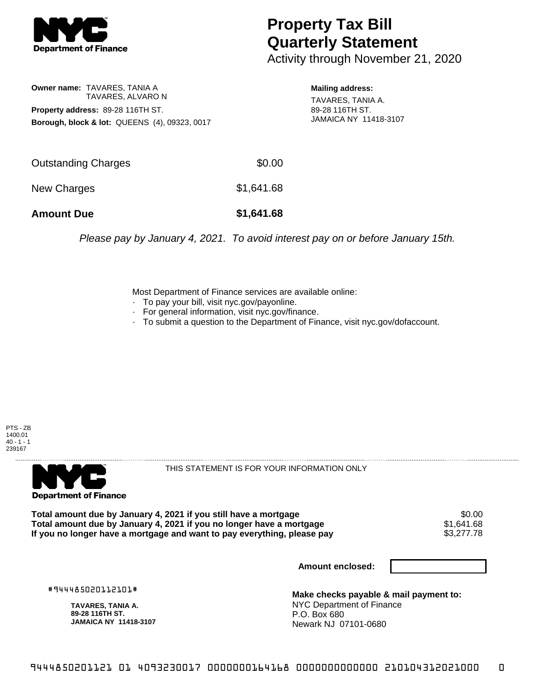

## **Property Tax Bill Quarterly Statement**

Activity through November 21, 2020

## **Owner name:** TAVARES, TANIA A TAVARES, ALVARO N **Property address:** 89-28 116TH ST. **Borough, block & lot:** QUEENS (4), 09323, 0017

**Mailing address:**

TAVARES, TANIA A. 89-28 116TH ST. JAMAICA NY 11418-3107

| <b>Amount Due</b>   | \$1,641.68 |
|---------------------|------------|
| New Charges         | \$1,641.68 |
| Outstanding Charges | \$0.00     |

Please pay by January 4, 2021. To avoid interest pay on or before January 15th.

Most Department of Finance services are available online:

- · To pay your bill, visit nyc.gov/payonline.
- For general information, visit nyc.gov/finance.
- · To submit a question to the Department of Finance, visit nyc.gov/dofaccount.





THIS STATEMENT IS FOR YOUR INFORMATION ONLY

Total amount due by January 4, 2021 if you still have a mortgage  $$0.00$ <br>Total amount due by January 4, 2021 if you no longer have a mortgage  $$1,641.68$ **Total amount due by January 4, 2021 if you no longer have a mortgage**  $$1,641.68$ **<br>If you no longer have a mortgage and want to pay everything, please pay**  $$3,277.78$ If you no longer have a mortgage and want to pay everything, please pay

**Amount enclosed:**

#944485020112101#

**TAVARES, TANIA A. 89-28 116TH ST. JAMAICA NY 11418-3107**

**Make checks payable & mail payment to:** NYC Department of Finance P.O. Box 680 Newark NJ 07101-0680